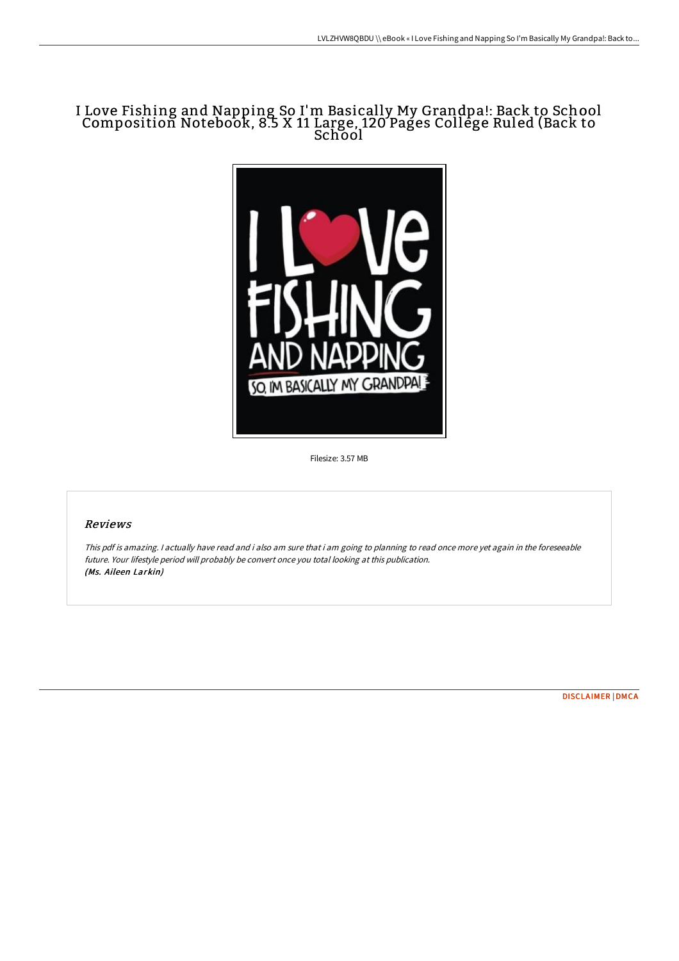# I Love Fishing and Napping So I'm Basically My Grandpa!: Back to School Composition Notebook, 8.5 X 11 Large, 120 Pages College Ruled (Back to School



Filesize: 3.57 MB

## Reviews

This pdf is amazing. <sup>I</sup> actually have read and i also am sure that i am going to planning to read once more yet again in the foreseeable future. Your lifestyle period will probably be convert once you total looking at this publication. (Ms. Aileen Larkin)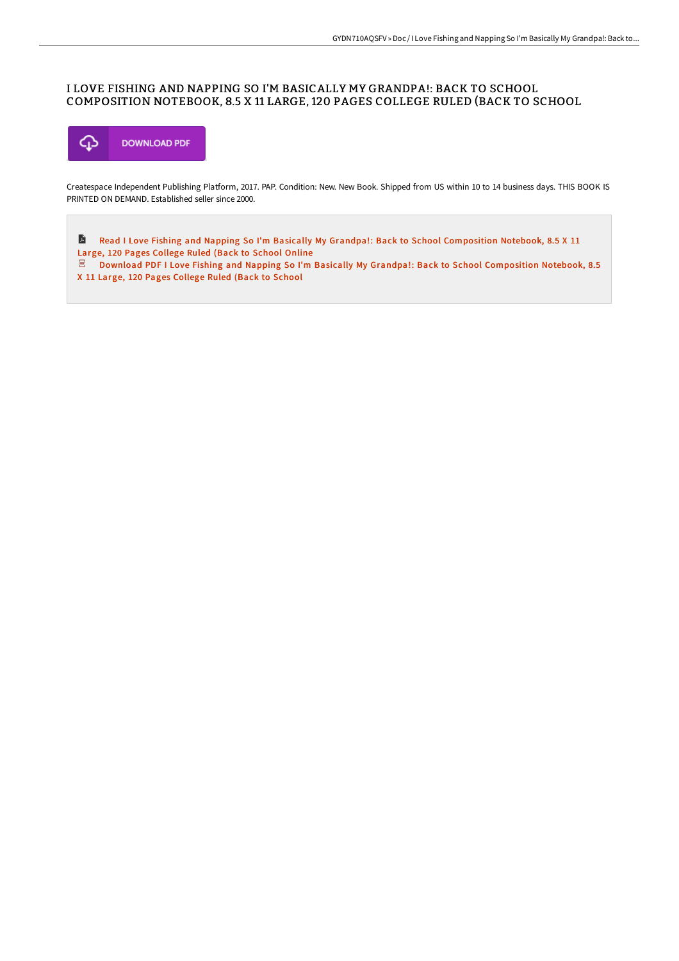### I LOVE FISHING AND NAPPING SO I'M BASICALLY MY GRANDPA!: BACK TO SCHOOL COMPOSITION NOTEBOOK, 8.5 X 11 LARGE, 120 PAGES COLLEGE RULED (BACK TO SCHOOL



Createspace Independent Publishing Platform, 2017. PAP. Condition: New. New Book. Shipped from US within 10 to 14 business days. THIS BOOK IS PRINTED ON DEMAND. Established seller since 2000.

E Read I Love Fishing and Napping So I'm Basically My Grandpa!: Back to School [Composition](http://techno-pub.tech/i-love-fishing-and-napping-so-i-x27-m-basically--1.html) Notebook, 8.5 X 11 Large, 120 Pages College Ruled (Back to School Online

Download PDF I Love Fishing and Napping So I'm Basically My Grandpa!: Back to School [Composition](http://techno-pub.tech/i-love-fishing-and-napping-so-i-x27-m-basically--1.html) Notebook, 8.5 X 11 Large, 120 Pages College Ruled (Back to School